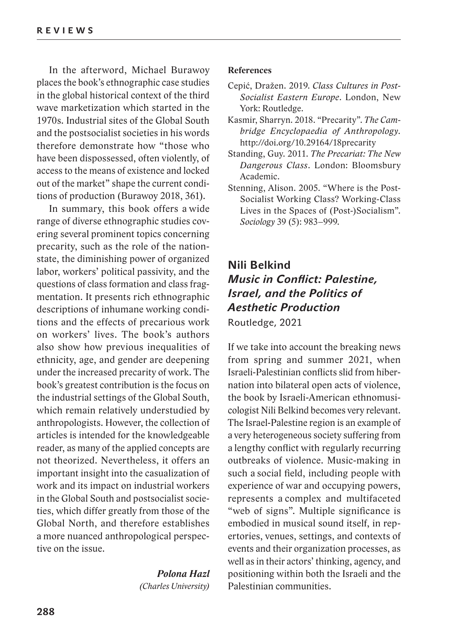In the afterword, Michael Burawoy places the book's ethnographic case studies in the global historical context of the third wave marketization which started in the 1970s. Industrial sites of the Global South and the postsocialist societies in his words therefore demonstrate how "those who have been dispossessed, often violently, of access to the means of existence and locked out of the market" shape the current conditions of production (Burawoy 2018, 361).

In summary, this book offers a wide range of diverse ethnographic studies covering several prominent topics concerning precarity, such as the role of the nationstate, the diminishing power of organized labor, workers' political passivity, and the questions of class formation and class fragmentation. It presents rich ethnographic descriptions of inhumane working conditions and the effects of precarious work on workers' lives. The book's authors also show how previous inequalities of ethnicity, age, and gender are deepening under the increased precarity of work. The book's greatest contribution is the focus on the industrial settings of the Global South, which remain relatively understudied by anthropologists. However, the collection of articles is intended for the knowledgeable reader, as many of the applied concepts are not theorized. Nevertheless, it offers an important insight into the casualization of work and its impact on industrial workers in the Global South and postsocialist societies, which differ greatly from those of the Global North, and therefore establishes a more nuanced anthropological perspective on the issue.

> *Polona Hazl (Charles University)*

## **References**

- Cepić, Dražen. 2019. *Class Cultures in Post-Socialist Eastern Europe*. London, New York: Routledge.
- Kasmir, Sharryn. 2018. "Precarity". *The Cam bridge Encyclopaedia of Anthropology.*  http://doi.org/10.29164/18precarity
- Standing, Guy. 2011. *The Precariat: The New Dangerous Class*. London: Bloomsbury Academic.
- Stenning, Alison. 2005. "Where is the Post-Socialist Working Class? Working-Class Lives in the Spaces of (Post-)Socialism". *Sociology* 39 (5): 983–999.

## **Nili Belkind** *Music in Conflict: Palestine, Israel, and the Politics of Aesthetic Production* Routledge, 2021

If we take into account the breaking news from spring and summer 2021, when Israeli-Palestinian conflicts slid from hibernation into bilateral open acts of violence, the book by Israeli-American ethnomusicologist Nili Belkind becomes very relevant. The Israel-Palestine region is an example of a very heterogeneous society suffering from a lengthy conflict with regularly recurring outbreaks of violence. Music-making in such a social field, including people with experience of war and occupying powers, represents a complex and multifaceted "web of signs". Multiple significance is embodied in musical sound itself, in repertories, venues, settings, and contexts of events and their organization processes, as well as in their actors' thinking, agency, and positioning within both the Israeli and the Palestinian communities.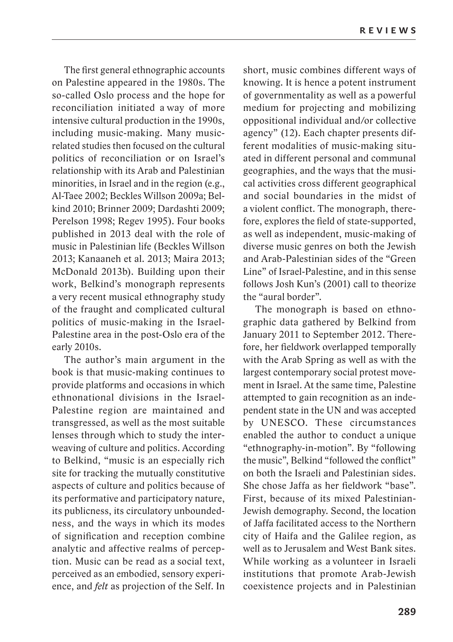The first general ethnographic accounts on Palestine appeared in the 1980s. The so-called Oslo process and the hope for reconciliation initiated a way of more intensive cultural production in the 1990s, including music-making. Many musicrelated studies then focused on the cultural politics of reconciliation or on Israel's relationship with its Arab and Palestinian minorities, in Israel and in the region (e.g., Al-Taee 2002; Beckles Willson 2009a; Belkind 2010; Brinner 2009; Dardashti 2009; Perelson 1998; Regev 1995). Four books published in 2013 deal with the role of music in Palestinian life (Beckles Willson 2013; Kanaaneh et al. 2013; Maira 2013; McDonald 2013b). Building upon their work, Belkind's monograph represents a very recent musical ethnography study of the fraught and complicated cultural politics of music-making in the Israel-Palestine area in the post-Oslo era of the early 2010s.

The author's main argument in the book is that music-making continues to provide platforms and occasions in which ethnonational divisions in the Israel-Palestine region are maintained and transgressed, as well as the most suitable lenses through which to study the interweaving of culture and politics. According to Belkind, "music is an especially rich site for tracking the mutually constitutive aspects of culture and politics because of its performative and participatory nature, its publicness, its circulatory unboundedness, and the ways in which its modes of signification and reception combine analytic and affective realms of perception. Music can be read as a social text, perceived as an embodied, sensory experience, and *felt* as projection of the Self. In

short, music combines different ways of knowing. It is hence a potent instrument of governmentality as well as a powerful medium for projecting and mobilizing oppositional individual and/or collective agency" (12). Each chapter presents different modalities of music-making situated in different personal and communal geographies, and the ways that the musical activities cross different geographical and social boundaries in the midst of a violent conflict. The monograph, therefore, explores the field of state-supported, as well as independent, music-making of diverse music genres on both the Jewish and Arab-Palestinian sides of the "Green Line" of Israel-Palestine, and in this sense follows Josh Kun's (2001) call to theorize the "aural border".

The monograph is based on ethnographic data gathered by Belkind from January 2011 to September 2012. Therefore, her fieldwork overlapped temporally with the Arab Spring as well as with the largest contemporary social protest movement in Israel. At the same time, Palestine attempted to gain recognition as an independent state in the UN and was accepted by UNESCO. These circumstances enabled the author to conduct a unique "ethnography-in-motion". By "following the music", Belkind "followed the conflict" on both the Israeli and Palestinian sides. She chose Jaffa as her fieldwork "base". First, because of its mixed Palestinian-Jewish demography. Second, the location of Jaffa facilitated access to the Northern city of Haifa and the Galilee region, as well as to Jerusalem and West Bank sites. While working as a volunteer in Israeli institutions that promote Arab-Jewish coexistence projects and in Palestinian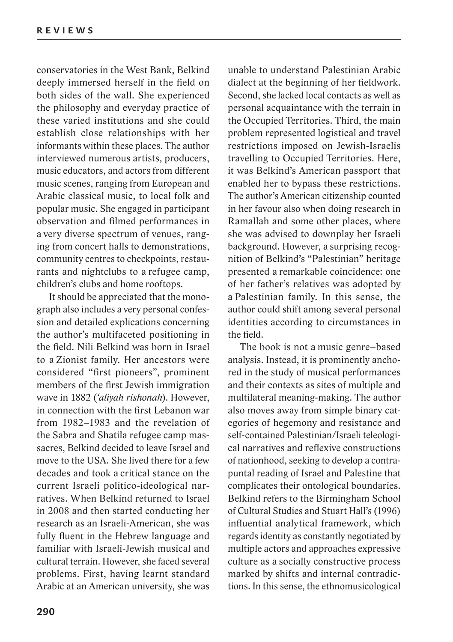conservatories in the West Bank, Belkind deeply immersed herself in the field on both sides of the wall. She experienced the philosophy and everyday practice of these varied institutions and she could establish close relationships with her informants within these places. The author interviewed numerous artists, producers, music educators, and actors from different music scenes, ranging from European and Arabic classical music, to local folk and popular music. She engaged in participant observation and filmed performances in a very diverse spectrum of venues, ranging from concert halls to demonstrations, community centres to checkpoints, restaurants and nightclubs to a refugee camp, children's clubs and home rooftops.

It should be appreciated that the monograph also includes a very personal confession and detailed explications concerning the author's multifaceted positioning in the field. Nili Belkind was born in Israel to a Zionist family. Her ancestors were considered "first pioneers", prominent members of the first Jewish immigration wave in 1882 (*'aliyah rishonah*). However, in connection with the first Lebanon war from 1982–1983 and the revelation of the Sabra and Shatila refugee camp massacres, Belkind decided to leave Israel and move to the USA. She lived there for a few decades and took a critical stance on the current Israeli politico-ideological narratives. When Belkind returned to Israel in 2008 and then started conducting her research as an Israeli-American, she was fully fluent in the Hebrew language and familiar with Israeli-Jewish musical and cultural terrain. However, she faced several problems. First, having learnt standard Arabic at an American university, she was

unable to understand Palestinian Arabic dialect at the beginning of her fieldwork. Second, she lacked local contacts as well as personal acquaintance with the terrain in the Occupied Territories. Third, the main problem represented logistical and travel restrictions imposed on Jewish-Israelis travelling to Occupied Territories. Here, it was Belkind's American passport that enabled her to bypass these restrictions. The author's American citizenship counted in her favour also when doing research in Ramallah and some other places, where she was advised to downplay her Israeli background. However, a surprising recognition of Belkind's "Palestinian" heritage presented a remarkable coincidence: one of her father's relatives was adopted by a Palestinian family. In this sense, the author could shift among several personal identities according to circumstances in the field.

The book is not a music genre–based analysis. Instead, it is prominently ancho red in the study of musical performances and their contexts as sites of multiple and multilateral meaning-making. The author also moves away from simple binary categories of hegemony and resistance and self-contained Palestinian/Israeli teleological narratives and reflexive constructions of nationhood, seeking to develop a contrapuntal reading of Israel and Palestine that complicates their ontological boundaries. Belkind refers to the Birmingham School of Cultural Studies and Stuart Hall's (1996) influential analytical framework, which regards identity as constantly negotiated by multiple actors and approaches expressive culture as a socially constructive process marked by shifts and internal contradictions. In this sense, the ethnomusicological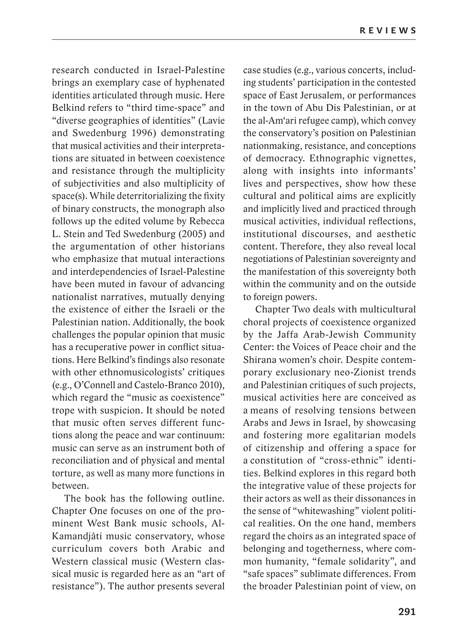research conducted in Israel-Palestine brings an exemplary case of hyphenated identities articulated through music. Here Belkind refers to "third time-space" and "diverse geographies of identities" (Lavie and Swedenburg 1996) demonstrating that musical activities and their interpretations are situated in between coexistence and resistance through the multiplicity of subjectivities and also multiplicity of space(s). While deterritorializing the fixity of binary constructs, the monograph also follows up the edited volume by Rebecca L. Stein and Ted Swedenburg (2005) and the argumentation of other historians who emphasize that mutual interactions and interdependencies of Israel-Palestine have been muted in favour of advancing nationalist narratives, mutually denying the existence of either the Israeli or the Palestinian nation. Additionally, the book challenges the popular opinion that music has a recuperative power in conflict situations. Here Belkind's findings also resonate with other ethnomusicologists' critiques (e.g., O'Connell and Castelo-Branco 2010), which regard the "music as coexistence" trope with suspicion. It should be noted that music often serves different functions along the peace and war continuum: music can serve as an instrument both of reconciliation and of physical and mental torture, as well as many more functions in between.

The book has the following outline. Chapter One focuses on one of the prominent West Bank music schools, Al-Kamandjâti music conservatory, whose curriculum covers both Arabic and Western classical music (Western classical music is regarded here as an "art of resistance"). The author presents several case studies (e.g., various concerts, including students' participation in the contested space of East Jerusalem, or performances in the town of Abu Dis Palestinian, or at the al-Am'ari refugee camp), which convey the conservatory's position on Palestinian nationmaking, resistance, and conceptions of democracy. Ethnographic vignettes, along with insights into informants' lives and perspectives, show how these cultural and political aims are explicitly and implicitly lived and practiced through musical activities, individual reflections, institutional discourses, and aesthetic content. Therefore, they also reveal local negotiations of Palestinian sovereignty and the manifestation of this sovereignty both within the community and on the outside to foreign powers.

Chapter Two deals with multicultural choral projects of coexistence organized by the Jaffa Arab-Jewish Community Center: the Voices of Peace choir and the Shirana women's choir. Despite contemporary exclusionary neo-Zionist trends and Palestinian critiques of such projects, musical activities here are conceived as a means of resolving tensions between Arabs and Jews in Israel, by showcasing and fostering more egalitarian models of citizenship and offering a space for a constitution of "cross-ethnic" identities. Belkind explores in this regard both the integrative value of these projects for their actors as well as their dissonances in the sense of "whitewashing" violent political realities. On the one hand, members regard the choirs as an integrated space of belonging and togetherness, where common humanity, "female solidarity", and "safe spaces" sublimate differences. From the broader Palestinian point of view, on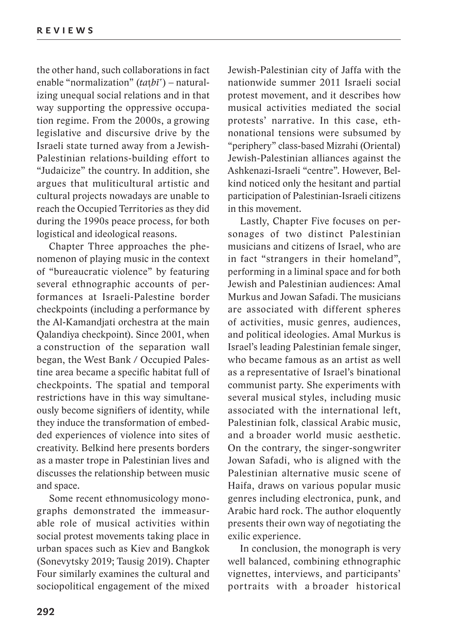the other hand, such collaborations in fact enable "normalization" (*tatbī*') – naturalizing unequal social relations and in that way supporting the oppressive occupation regime. From the 2000s, a growing legislative and discursive drive by the Israeli state turned away from a Jewish-Palestinian relations-building effort to "Judaicize" the country. In addition, she argues that muliticultural artistic and cultural projects nowadays are unable to reach the Occupied Territories as they did during the 1990s peace process, for both logistical and ideological reasons.

Chapter Three approaches the phenomenon of playing music in the context of "bureaucratic violence" by featuring several ethnographic accounts of performances at Israeli-Palestine border checkpoints (including a performance by the Al-Kamandjati orchestra at the main Qalandiya checkpoint). Since 2001, when a construction of the separation wall began, the West Bank / Occupied Palestine area became a specific habitat full of checkpoints. The spatial and temporal restrictions have in this way simultaneously become signifiers of identity, while they induce the transformation of embedded experiences of violence into sites of creativity. Belkind here presents borders as a master trope in Palestinian lives and discusses the relationship between music and space.

Some recent ethnomusicology monographs demonstrated the immeasurable role of musical activities within social protest movements taking place in urban spaces such as Kiev and Bangkok (Sonevytsky 2019; Tausig 2019). Chapter Four similarly examines the cultural and sociopolitical engagement of the mixed

Jewish-Palestinian city of Jaffa with the nationwide summer 2011 Israeli social protest movement, and it describes how musical activities mediated the social protests' narrative. In this case, ethnonational tensions were subsumed by "periphery" class-based Mizrahi (Oriental) Jewish-Palestinian alliances against the Ashkenazi-Israeli "centre". However, Belkind noticed only the hesitant and partial participation of Palestinian-Israeli citizens in this movement.

Lastly, Chapter Five focuses on personages of two distinct Palestinian musicians and citizens of Israel, who are in fact "strangers in their homeland", performing in a liminal space and for both Jewish and Palestinian audiences: Amal Murkus and Jowan Safadi. The musicians are associated with different spheres of activities, music genres, audiences, and political ideologies. Amal Murkus is Israel's leading Palestinian female singer, who became famous as an artist as well as a representative of Israel's binational communist party. She experiments with several musical styles, including music associated with the international left, Palestinian folk, classical Arabic music, and a broader world music aesthetic. On the contrary, the singer-songwriter Jowan Safadi, who is aligned with the Palestinian alternative music scene of Haifa, draws on various popular music genres including electronica, punk, and Arabic hard rock. The author eloquently presents their own way of negotiating the exilic experience.

In conclusion, the monograph is very well balanced, combining ethnographic vignettes, interviews, and participants' portraits with a broader historical